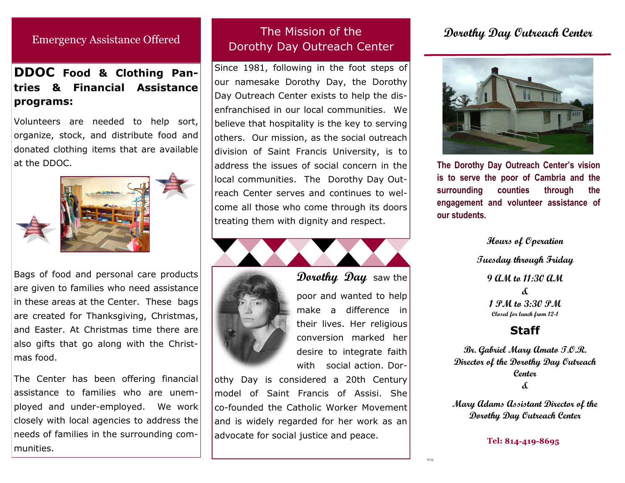# Emergency Assistance Offered

# **DDOC Food & Clothing Pantries & Financial Assistance programs:**

Volunteers are needed to help sort, organize, stock, and distribute food and donated clothing items that are available at the DDOC.



Bags of food and personal care products are given to families who need assistance in these areas at the Center. These bags are created for Thanksgiving, Christmas, and Easter. At Christmas time there are also gifts that go along with the Christmas food.

The Center has been offering financial assistance to families who are unemployed and under-employed. We work closely with local agencies to address the needs of families in the surrounding communities.

# The Mission of the Dorothy Day Outreach Center

Since 1981, following in the foot steps of our namesake Dorothy Day, the Dorothy Day Outreach Center exists to help the disenfranchised in our local communities. We believe that hospitality is the key to serving others. Our mission, as the social outreach division of Saint Francis University, is to address the issues of social concern in the local communities. The Dorothy Day Outreach Center serves and continues to welcome all those who come through its doors treating them with dignity and respect.



**Dorothy Day** saw the poor and wanted to help

make a difference in their lives. Her religious conversion marked her desire to integrate faith with social action. Dor-

othy Day is considered a 20th Century model of Saint Francis of Assisi. She co-founded the Catholic Worker Movement and is widely regarded for her work as an advocate for social justice and peace.

# **Dorothy Day Outreach Center**



**The Dorothy Day Outreach Center's vision is to serve the poor of Cambria and the surrounding counties through the engagement and volunteer assistance of our students.**

> **Hours of Operation Tuesday through Friday 9 AM to 11:30 AM & 1 PM to 3:30 PM Closed for lunch from 12-1**

# **Staff**

**Br. Gabriel Mary Amato T.O.R. Director of the Dorothy Day Outreach Center &**

**Mary Adams Assistant Director of the Dorothy Day Outreach Center**

**Tel:**